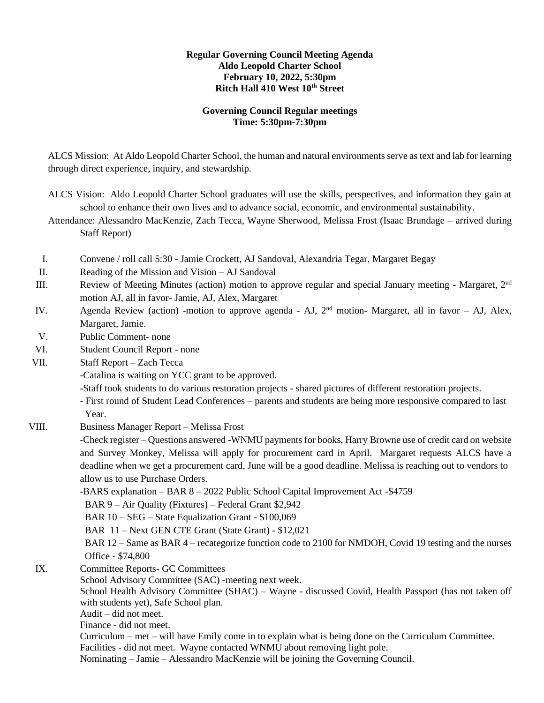#### **Regular Governing Council Meeting Agenda Aldo Leopold Charter School February 10, 2022, 5:30pm Ritch Hall 410 West 10th Street**

#### **Governing Council Regular meetings Time: 5:30pm-7:30pm**

ALCS Mission: At Aldo Leopold Charter School, the human and natural environments serve as text and lab for learning through direct experience, inquiry, and stewardship.

ALCS Vision: Aldo Leopold Charter School graduates will use the skills, perspectives, and information they gain at school to enhance their own lives and to advance social, economic, and environmental sustainability.

Attendance: Alessandro MacKenzie, Zach Tecca, Wayne Sherwood, Melissa Frost (Isaac Brundage – arrived during Staff Report)

- I. Convene / roll call 5:30 Jamie Crockett, AJ Sandoval, Alexandria Tegar, Margaret Begay
- II. Reading of the Mission and Vision AJ Sandoval
- III. Review of Meeting Minutes (action) motion to approve regular and special January meeting Margaret, 2<sup>nd</sup> motion AJ, all in favor- Jamie, AJ, Alex, Margaret
- IV. Agenda Review (action) -motion to approve agenda AJ,  $2<sup>nd</sup>$  motion- Margaret, all in favor AJ, Alex, Margaret, Jamie.
- V. Public Comment- none
- VI. Student Council Report none
- VII. Staff Report Zach Tecca
	- -Catalina is waiting on YCC grant to be approved.

-Staff took students to do various restoration projects - shared pictures of different restoration projects.

- First round of Student Lead Conferences parents and students are being more responsive compared to last Year.
- VIII. Business Manager Report Melissa Frost

-Check register – Questions answered -WNMU paymentsfor books, Harry Browne use of credit card on website and Survey Monkey, Melissa will apply for procurement card in April. Margaret requests ALCS have a deadline when we get a procurement card, June will be a good deadline. Melissa is reaching out to vendors to allow us to use Purchase Orders.

-BARS explanation – BAR 8 – 2022 Public School Capital Improvement Act -\$4759

BAR 9 – Air Quality (Fixtures) – Federal Grant \$2,942

BAR 10 – SEG – State Equalization Grant - \$100,069

BAR 11 – Next GEN CTE Grant (State Grant) - \$12,021

 BAR 12 – Same as BAR 4 – recategorize function code to 2100 for NMDOH, Covid 19 testing and the nurses Office - \$74,800

IX. Committee Reports- GC Committees

School Advisory Committee (SAC) -meeting next week.

School Health Advisory Committee (SHAC) – Wayne - discussed Covid, Health Passport (has not taken off with students yet), Safe School plan.

Audit – did not meet.

Finance - did not meet.

Curriculum – met – will have Emily come in to explain what is being done on the Curriculum Committee. Facilities - did not meet. Wayne contacted WNMU about removing light pole.

Nominating – Jamie – Alessandro MacKenzie will be joining the Governing Council.